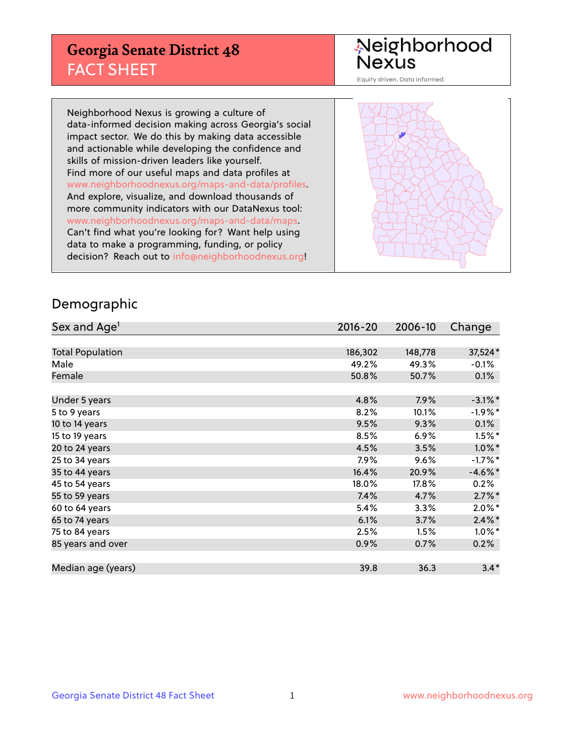## **Georgia Senate District 48** FACT SHEET

# Neighborhood<br>Nexus

Equity driven. Data informed.

Neighborhood Nexus is growing a culture of data-informed decision making across Georgia's social impact sector. We do this by making data accessible and actionable while developing the confidence and skills of mission-driven leaders like yourself. Find more of our useful maps and data profiles at www.neighborhoodnexus.org/maps-and-data/profiles. And explore, visualize, and download thousands of more community indicators with our DataNexus tool: www.neighborhoodnexus.org/maps-and-data/maps. Can't find what you're looking for? Want help using data to make a programming, funding, or policy decision? Reach out to [info@neighborhoodnexus.org!](mailto:info@neighborhoodnexus.org)



### Demographic

| Sex and Age <sup>1</sup> | $2016 - 20$ | 2006-10 | Change     |
|--------------------------|-------------|---------|------------|
|                          |             |         |            |
| <b>Total Population</b>  | 186,302     | 148,778 | 37,524*    |
| Male                     | 49.2%       | 49.3%   | $-0.1\%$   |
| Female                   | 50.8%       | 50.7%   | 0.1%       |
|                          |             |         |            |
| Under 5 years            | 4.8%        | 7.9%    | $-3.1\%$ * |
| 5 to 9 years             | 8.2%        | 10.1%   | $-1.9%$ *  |
| 10 to 14 years           | 9.5%        | 9.3%    | 0.1%       |
| 15 to 19 years           | 8.5%        | 6.9%    | $1.5\%$ *  |
| 20 to 24 years           | 4.5%        | 3.5%    | $1.0\%$ *  |
| 25 to 34 years           | 7.9%        | 9.6%    | $-1.7%$ *  |
| 35 to 44 years           | 16.4%       | 20.9%   | $-4.6\%$ * |
| 45 to 54 years           | 18.0%       | 17.8%   | 0.2%       |
| 55 to 59 years           | 7.4%        | 4.7%    | $2.7\%$ *  |
| 60 to 64 years           | 5.4%        | 3.3%    | $2.0\%$ *  |
| 65 to 74 years           | 6.1%        | 3.7%    | $2.4\%$ *  |
| 75 to 84 years           | 2.5%        | 1.5%    | $1.0\%$ *  |
| 85 years and over        | 0.9%        | 0.7%    | 0.2%       |
|                          |             |         |            |
| Median age (years)       | 39.8        | 36.3    | $3.4*$     |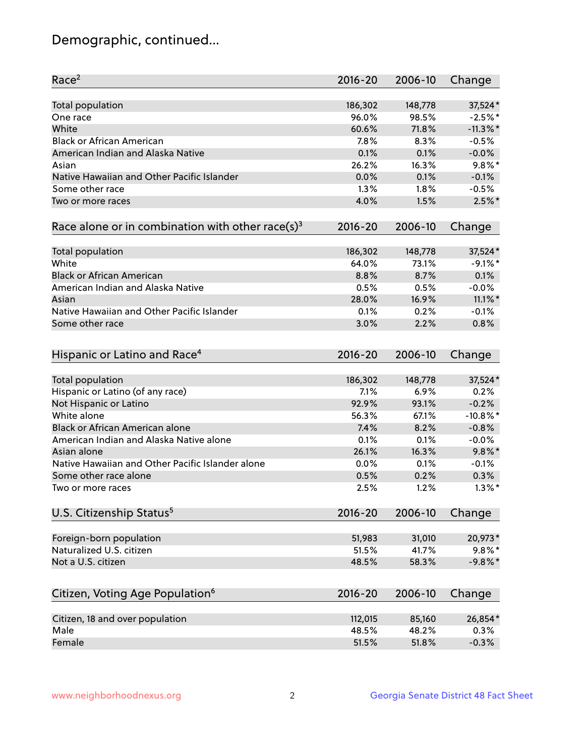## Demographic, continued...

| Race <sup>2</sup>                                            | $2016 - 20$     | 2006-10         | Change               |
|--------------------------------------------------------------|-----------------|-----------------|----------------------|
| <b>Total population</b>                                      | 186,302         | 148,778         | 37,524*              |
| One race                                                     | 96.0%           | 98.5%           | $-2.5%$ *            |
| White                                                        | 60.6%           | 71.8%           | $-11.3\%$ *          |
| <b>Black or African American</b>                             | 7.8%            | 8.3%            | $-0.5%$              |
| American Indian and Alaska Native                            | 0.1%            | 0.1%            | $-0.0%$              |
| Asian                                                        | 26.2%           | 16.3%           | $9.8\%$ *            |
| Native Hawaiian and Other Pacific Islander                   | 0.0%            | 0.1%            | $-0.1%$              |
| Some other race                                              | 1.3%            | 1.8%            | $-0.5%$              |
| Two or more races                                            | 4.0%            | 1.5%            | $2.5\%$ *            |
| Race alone or in combination with other race(s) <sup>3</sup> | $2016 - 20$     | 2006-10         | Change               |
| Total population                                             | 186,302         | 148,778         | 37,524*              |
| White                                                        | 64.0%           | 73.1%           | $-9.1\%$ *           |
| <b>Black or African American</b>                             | 8.8%            | 8.7%            | 0.1%                 |
| American Indian and Alaska Native                            | 0.5%            | 0.5%            | $-0.0%$              |
| Asian                                                        | 28.0%           | 16.9%           | $11.1\%$ *           |
| Native Hawaiian and Other Pacific Islander                   | 0.1%            | 0.2%            | $-0.1%$              |
| Some other race                                              | 3.0%            | 2.2%            | 0.8%                 |
| Hispanic or Latino and Race <sup>4</sup>                     | $2016 - 20$     | 2006-10         | Change               |
| <b>Total population</b>                                      | 186,302         | 148,778         | 37,524*              |
| Hispanic or Latino (of any race)                             | 7.1%            | 6.9%            | 0.2%                 |
| Not Hispanic or Latino                                       | 92.9%           | 93.1%           | $-0.2%$              |
| White alone                                                  | 56.3%           | 67.1%           | $-10.8%$ *           |
| <b>Black or African American alone</b>                       | 7.4%            | 8.2%            | $-0.8%$              |
| American Indian and Alaska Native alone                      | 0.1%            | 0.1%            | $-0.0%$              |
| Asian alone                                                  | 26.1%           | 16.3%           | $9.8\%$ *            |
| Native Hawaiian and Other Pacific Islander alone             | 0.0%            | 0.1%            | $-0.1%$              |
| Some other race alone                                        | 0.5%            | 0.2%            | 0.3%                 |
| Two or more races                                            | 2.5%            | 1.2%            | $1.3\%$ *            |
| U.S. Citizenship Status <sup>5</sup>                         | $2016 - 20$     | 2006-10         | Change               |
|                                                              |                 |                 |                      |
| Foreign-born population<br>Naturalized U.S. citizen          | 51,983<br>51.5% | 31,010<br>41.7% | 20,973*<br>$9.8\%$ * |
|                                                              |                 |                 |                      |
| Not a U.S. citizen                                           | 48.5%           | 58.3%           | $-9.8\%$ *           |
| Citizen, Voting Age Population <sup>6</sup>                  | $2016 - 20$     | 2006-10         | Change               |
| Citizen, 18 and over population                              | 112,015         | 85,160          | 26,854*              |
| Male                                                         | 48.5%           | 48.2%           | 0.3%                 |
| Female                                                       | 51.5%           | 51.8%           | $-0.3%$              |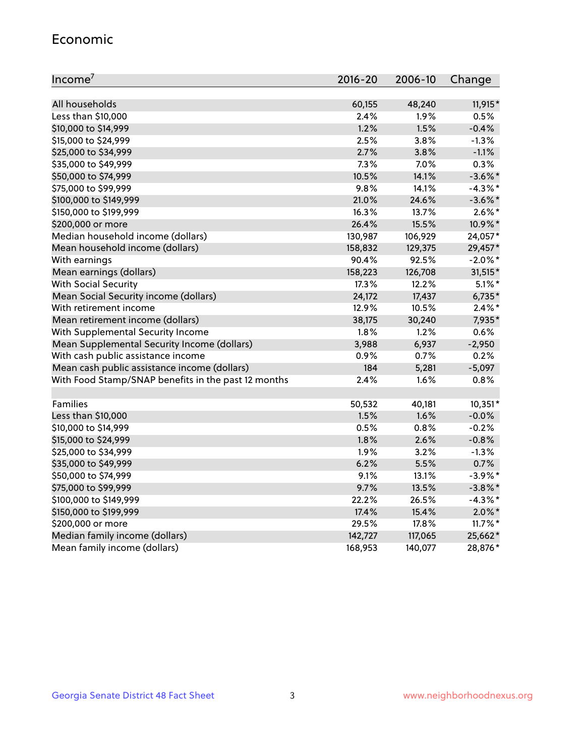#### Economic

| Income <sup>7</sup>                                 | $2016 - 20$ | 2006-10 | Change     |
|-----------------------------------------------------|-------------|---------|------------|
|                                                     |             |         |            |
| All households                                      | 60,155      | 48,240  | 11,915*    |
| Less than \$10,000                                  | 2.4%        | 1.9%    | 0.5%       |
| \$10,000 to \$14,999                                | 1.2%        | 1.5%    | $-0.4%$    |
| \$15,000 to \$24,999                                | 2.5%        | 3.8%    | $-1.3%$    |
| \$25,000 to \$34,999                                | 2.7%        | 3.8%    | $-1.1%$    |
| \$35,000 to \$49,999                                | 7.3%        | 7.0%    | 0.3%       |
| \$50,000 to \$74,999                                | 10.5%       | 14.1%   | $-3.6\%$ * |
| \$75,000 to \$99,999                                | 9.8%        | 14.1%   | $-4.3\%$ * |
| \$100,000 to \$149,999                              | 21.0%       | 24.6%   | $-3.6\%$ * |
| \$150,000 to \$199,999                              | 16.3%       | 13.7%   | $2.6\%$ *  |
| \$200,000 or more                                   | 26.4%       | 15.5%   | 10.9%*     |
| Median household income (dollars)                   | 130,987     | 106,929 | 24,057*    |
| Mean household income (dollars)                     | 158,832     | 129,375 | 29,457*    |
| With earnings                                       | 90.4%       | 92.5%   | $-2.0\%$ * |
| Mean earnings (dollars)                             | 158,223     | 126,708 | 31,515*    |
| <b>With Social Security</b>                         | 17.3%       | 12.2%   | $5.1\%$ *  |
| Mean Social Security income (dollars)               | 24,172      | 17,437  | $6,735*$   |
| With retirement income                              | 12.9%       | 10.5%   | $2.4\%$ *  |
| Mean retirement income (dollars)                    | 38,175      | 30,240  | 7,935*     |
| With Supplemental Security Income                   | $1.8\%$     | $1.2\%$ | 0.6%       |
| Mean Supplemental Security Income (dollars)         | 3,988       | 6,937   | $-2,950$   |
| With cash public assistance income                  | 0.9%        | 0.7%    | 0.2%       |
| Mean cash public assistance income (dollars)        | 184         | 5,281   | $-5,097$   |
| With Food Stamp/SNAP benefits in the past 12 months | 2.4%        | 1.6%    | 0.8%       |
|                                                     |             |         |            |
| Families                                            | 50,532      | 40,181  | $10,351*$  |
| Less than \$10,000                                  | 1.5%        | 1.6%    | $-0.0%$    |
| \$10,000 to \$14,999                                | 0.5%        | 0.8%    | $-0.2%$    |
| \$15,000 to \$24,999                                | 1.8%        | 2.6%    | $-0.8%$    |
| \$25,000 to \$34,999                                | 1.9%        | 3.2%    | $-1.3%$    |
| \$35,000 to \$49,999                                | 6.2%        | 5.5%    | 0.7%       |
| \$50,000 to \$74,999                                | 9.1%        | 13.1%   | $-3.9\%$ * |
| \$75,000 to \$99,999                                | 9.7%        | 13.5%   | $-3.8\%$ * |
| \$100,000 to \$149,999                              | 22.2%       | 26.5%   | $-4.3%$ *  |
| \$150,000 to \$199,999                              | 17.4%       | 15.4%   | $2.0\%$ *  |
| \$200,000 or more                                   | 29.5%       | 17.8%   | 11.7%*     |
| Median family income (dollars)                      | 142,727     | 117,065 | 25,662*    |
| Mean family income (dollars)                        | 168,953     | 140,077 | 28,876*    |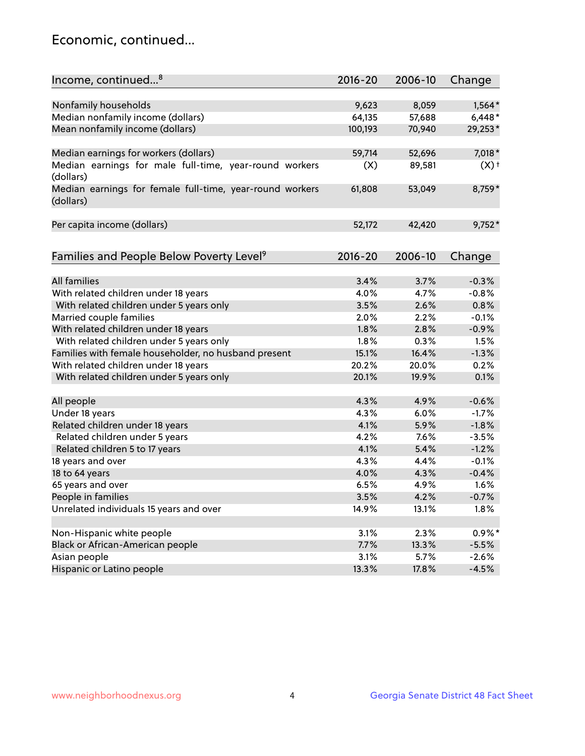## Economic, continued...

| Income, continued <sup>8</sup>                                      | 2016-20 | 2006-10       | Change             |
|---------------------------------------------------------------------|---------|---------------|--------------------|
|                                                                     |         |               |                    |
| Nonfamily households                                                | 9,623   | 8,059         | $1,564*$           |
| Median nonfamily income (dollars)                                   | 64,135  | 57,688        | $6,448*$           |
| Mean nonfamily income (dollars)                                     | 100,193 | 70,940        | 29,253*            |
|                                                                     |         |               |                    |
| Median earnings for workers (dollars)                               | 59,714  | 52,696        | 7,018*             |
| Median earnings for male full-time, year-round workers              | (X)     | 89,581        | $(X)$ <sup>+</sup> |
| (dollars)                                                           |         |               |                    |
| Median earnings for female full-time, year-round workers            | 61,808  | 53,049        | 8,759*             |
| (dollars)                                                           |         |               |                    |
|                                                                     |         |               |                    |
| Per capita income (dollars)                                         | 52,172  | 42,420        | $9,752*$           |
|                                                                     |         |               |                    |
|                                                                     |         |               |                    |
| Families and People Below Poverty Level <sup>9</sup>                | 2016-20 | 2006-10       | Change             |
| <b>All families</b>                                                 | 3.4%    | 3.7%          | $-0.3%$            |
|                                                                     | 4.0%    | 4.7%          | $-0.8%$            |
| With related children under 18 years                                | 3.5%    | 2.6%          | 0.8%               |
| With related children under 5 years only<br>Married couple families | 2.0%    | 2.2%          | $-0.1%$            |
| With related children under 18 years                                | 1.8%    | 2.8%          | $-0.9%$            |
|                                                                     | 1.8%    | 0.3%          | 1.5%               |
| With related children under 5 years only                            | 15.1%   | 16.4%         | $-1.3%$            |
| Families with female householder, no husband present                | 20.2%   | 20.0%         | 0.2%               |
| With related children under 18 years                                |         |               |                    |
| With related children under 5 years only                            | 20.1%   | 19.9%         | 0.1%               |
| All people                                                          | 4.3%    | 4.9%          | $-0.6%$            |
| Under 18 years                                                      | 4.3%    | 6.0%          | $-1.7%$            |
| Related children under 18 years                                     | 4.1%    | 5.9%          | $-1.8%$            |
| Related children under 5 years                                      | 4.2%    | 7.6%          | $-3.5%$            |
| Related children 5 to 17 years                                      | 4.1%    | 5.4%          | $-1.2%$            |
| 18 years and over                                                   | 4.3%    | 4.4%          | $-0.1%$            |
| 18 to 64 years                                                      | 4.0%    | 4.3%          | $-0.4%$            |
| 65 years and over                                                   | 6.5%    | 4.9%          | 1.6%               |
|                                                                     |         |               |                    |
| People in families<br>Unrelated individuals 15 years and over       | 3.5%    | 4.2%<br>13.1% | $-0.7%$<br>1.8%    |
|                                                                     | 14.9%   |               |                    |
|                                                                     |         |               |                    |
| Non-Hispanic white people                                           | 3.1%    | 2.3%          | $0.9\%*$           |
| Black or African-American people                                    | 7.7%    | 13.3%         | $-5.5%$            |
| Asian people                                                        | 3.1%    | 5.7%          | $-2.6%$            |
| Hispanic or Latino people                                           | 13.3%   | 17.8%         | $-4.5%$            |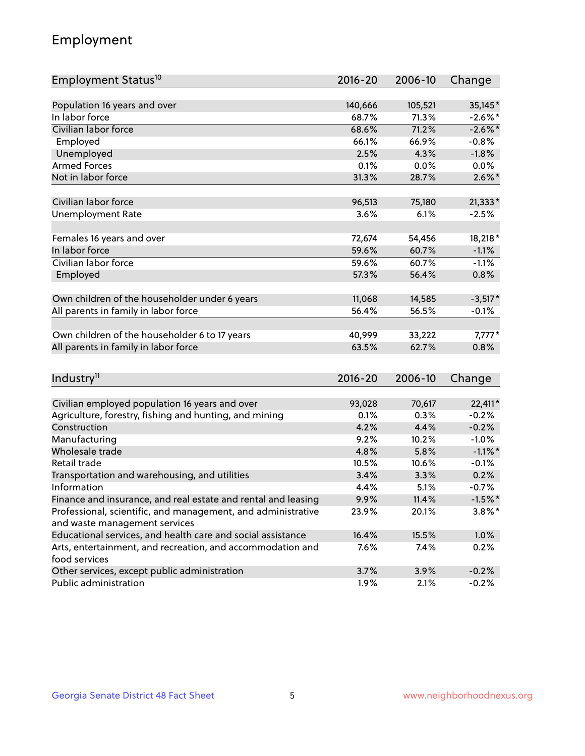## Employment

| Employment Status <sup>10</sup>                               | $2016 - 20$ | 2006-10 | Change     |
|---------------------------------------------------------------|-------------|---------|------------|
|                                                               |             |         |            |
| Population 16 years and over                                  | 140,666     | 105,521 | 35,145*    |
| In labor force                                                | 68.7%       | 71.3%   | $-2.6\%$ * |
| Civilian labor force                                          | 68.6%       | 71.2%   | $-2.6\%$ * |
| Employed                                                      | 66.1%       | 66.9%   | $-0.8%$    |
| Unemployed                                                    | 2.5%        | 4.3%    | $-1.8%$    |
| <b>Armed Forces</b>                                           | 0.1%        | 0.0%    | 0.0%       |
| Not in labor force                                            | 31.3%       | 28.7%   | $2.6\%$ *  |
| Civilian labor force                                          | 96,513      | 75,180  | 21,333*    |
| <b>Unemployment Rate</b>                                      | 3.6%        | 6.1%    | $-2.5%$    |
|                                                               |             |         |            |
| Females 16 years and over                                     | 72,674      | 54,456  | 18,218 *   |
| In labor force                                                | 59.6%       | 60.7%   | $-1.1%$    |
| Civilian labor force                                          | 59.6%       | 60.7%   | $-1.1%$    |
| Employed                                                      | 57.3%       | 56.4%   | 0.8%       |
| Own children of the householder under 6 years                 | 11,068      | 14,585  | $-3,517*$  |
| All parents in family in labor force                          | 56.4%       | 56.5%   | $-0.1%$    |
|                                                               |             |         |            |
| Own children of the householder 6 to 17 years                 | 40,999      | 33,222  | $7,777*$   |
| All parents in family in labor force                          | 63.5%       | 62.7%   | 0.8%       |
|                                                               |             |         |            |
| Industry <sup>11</sup>                                        | $2016 - 20$ | 2006-10 | Change     |
| Civilian employed population 16 years and over                | 93,028      | 70,617  | 22,411*    |
| Agriculture, forestry, fishing and hunting, and mining        | 0.1%        | 0.3%    | $-0.2%$    |
| Construction                                                  | 4.2%        | 4.4%    | $-0.2%$    |
| Manufacturing                                                 | 9.2%        | 10.2%   | $-1.0%$    |
| Wholesale trade                                               | 4.8%        | 5.8%    | $-1.1\%$ * |
| Retail trade                                                  | 10.5%       | 10.6%   | $-0.1%$    |
| Transportation and warehousing, and utilities                 | 3.4%        | 3.3%    | 0.2%       |
| Information                                                   | 4.4%        | 5.1%    | $-0.7%$    |
| Finance and insurance, and real estate and rental and leasing | 9.9%        | 11.4%   | $-1.5%$ *  |
| Professional, scientific, and management, and administrative  | 23.9%       | 20.1%   | $3.8\%$ *  |
| and waste management services                                 |             |         |            |
| Educational services, and health care and social assistance   | 16.4%       | 15.5%   | 1.0%       |
| Arts, entertainment, and recreation, and accommodation and    | 7.6%        | 7.4%    | 0.2%       |
| food services                                                 |             |         |            |
| Other services, except public administration                  | 3.7%        | 3.9%    | $-0.2%$    |
| Public administration                                         | $1.9\%$     | 2.1%    | $-0.2%$    |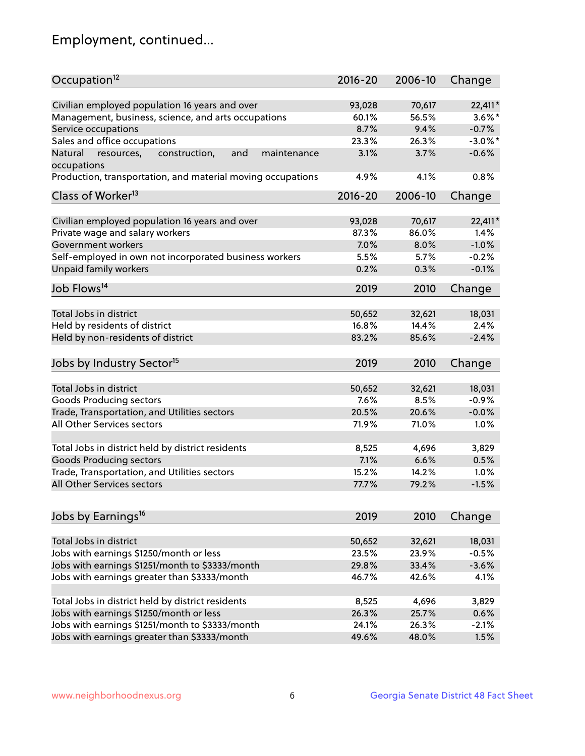## Employment, continued...

| Occupation <sup>12</sup>                                     | $2016 - 20$ | 2006-10 | Change     |
|--------------------------------------------------------------|-------------|---------|------------|
| Civilian employed population 16 years and over               | 93,028      | 70,617  | 22,411*    |
| Management, business, science, and arts occupations          | 60.1%       | 56.5%   | $3.6\%$ *  |
| Service occupations                                          | 8.7%        | 9.4%    | $-0.7%$    |
| Sales and office occupations                                 | 23.3%       | 26.3%   | $-3.0\%$ * |
| Natural<br>and<br>resources,<br>construction,<br>maintenance | 3.1%        | 3.7%    | $-0.6%$    |
| occupations                                                  |             |         |            |
| Production, transportation, and material moving occupations  | 4.9%        | 4.1%    | 0.8%       |
| Class of Worker <sup>13</sup>                                | $2016 - 20$ | 2006-10 | Change     |
|                                                              |             |         |            |
| Civilian employed population 16 years and over               | 93,028      | 70,617  | 22,411*    |
| Private wage and salary workers                              | 87.3%       | 86.0%   | 1.4%       |
| Government workers                                           | 7.0%        | 8.0%    | $-1.0%$    |
| Self-employed in own not incorporated business workers       | 5.5%        | 5.7%    | $-0.2%$    |
| Unpaid family workers                                        | 0.2%        | 0.3%    | $-0.1%$    |
| Job Flows <sup>14</sup>                                      | 2019        | 2010    | Change     |
|                                                              |             |         |            |
| Total Jobs in district                                       | 50,652      | 32,621  | 18,031     |
| Held by residents of district                                | 16.8%       | 14.4%   | 2.4%       |
| Held by non-residents of district                            | 83.2%       | 85.6%   | $-2.4%$    |
| Jobs by Industry Sector <sup>15</sup>                        | 2019        | 2010    | Change     |
| Total Jobs in district                                       | 50,652      | 32,621  | 18,031     |
| Goods Producing sectors                                      | 7.6%        | 8.5%    | $-0.9%$    |
| Trade, Transportation, and Utilities sectors                 | 20.5%       | 20.6%   | $-0.0%$    |
| All Other Services sectors                                   | 71.9%       | 71.0%   | 1.0%       |
|                                                              |             |         |            |
| Total Jobs in district held by district residents            | 8,525       | 4,696   | 3,829      |
| <b>Goods Producing sectors</b>                               | 7.1%        | 6.6%    | 0.5%       |
| Trade, Transportation, and Utilities sectors                 | 15.2%       | 14.2%   | 1.0%       |
| All Other Services sectors                                   | 77.7%       | 79.2%   | $-1.5%$    |
|                                                              |             |         |            |
| Jobs by Earnings <sup>16</sup>                               | 2019        | 2010    | Change     |
| Total Jobs in district                                       | 50,652      | 32,621  | 18,031     |
| Jobs with earnings \$1250/month or less                      | 23.5%       | 23.9%   | $-0.5%$    |
| Jobs with earnings \$1251/month to \$3333/month              | 29.8%       | 33.4%   | $-3.6%$    |
| Jobs with earnings greater than \$3333/month                 | 46.7%       | 42.6%   | 4.1%       |
|                                                              |             |         |            |
| Total Jobs in district held by district residents            | 8,525       | 4,696   | 3,829      |
| Jobs with earnings \$1250/month or less                      | 26.3%       | 25.7%   | 0.6%       |
| Jobs with earnings \$1251/month to \$3333/month              | 24.1%       | 26.3%   | $-2.1%$    |
| Jobs with earnings greater than \$3333/month                 | 49.6%       | 48.0%   | 1.5%       |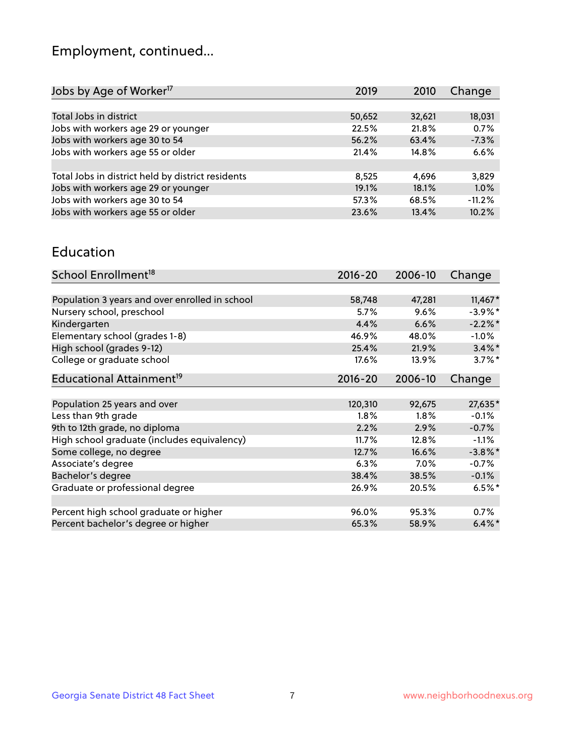## Employment, continued...

| 2019   | 2010   | Change   |
|--------|--------|----------|
|        |        |          |
| 50,652 | 32,621 | 18,031   |
| 22.5%  | 21.8%  | 0.7%     |
| 56.2%  | 63.4%  | $-7.3%$  |
| 21.4%  | 14.8%  | 6.6%     |
|        |        |          |
| 8,525  | 4.696  | 3,829    |
| 19.1%  | 18.1%  | 1.0%     |
| 57.3%  | 68.5%  | $-11.2%$ |
| 23.6%  | 13.4%  | 10.2%    |
|        |        |          |

#### Education

| School Enrollment <sup>18</sup>                | $2016 - 20$ | 2006-10 | Change     |
|------------------------------------------------|-------------|---------|------------|
|                                                |             |         |            |
| Population 3 years and over enrolled in school | 58,748      | 47,281  | $11,467*$  |
| Nursery school, preschool                      | 5.7%        | 9.6%    | $-3.9\%$ * |
| Kindergarten                                   | 4.4%        | 6.6%    | $-2.2\%$ * |
| Elementary school (grades 1-8)                 | 46.9%       | 48.0%   | $-1.0\%$   |
| High school (grades 9-12)                      | 25.4%       | 21.9%   | $3.4\%$ *  |
| College or graduate school                     | 17.6%       | 13.9%   | $3.7\%$ *  |
| Educational Attainment <sup>19</sup>           | $2016 - 20$ | 2006-10 | Change     |
|                                                |             |         |            |
| Population 25 years and over                   | 120,310     | 92,675  | 27,635*    |
| Less than 9th grade                            | 1.8%        | 1.8%    | $-0.1%$    |
| 9th to 12th grade, no diploma                  | 2.2%        | 2.9%    | $-0.7%$    |
| High school graduate (includes equivalency)    | 11.7%       | 12.8%   | $-1.1%$    |
| Some college, no degree                        | 12.7%       | 16.6%   | $-3.8\%$ * |
| Associate's degree                             | 6.3%        | $7.0\%$ | $-0.7%$    |
| Bachelor's degree                              | 38.4%       | 38.5%   | $-0.1%$    |
| Graduate or professional degree                | 26.9%       | 20.5%   | $6.5\%$ *  |
|                                                |             |         |            |
| Percent high school graduate or higher         | 96.0%       | 95.3%   | 0.7%       |
| Percent bachelor's degree or higher            | 65.3%       | 58.9%   | $6.4\%$ *  |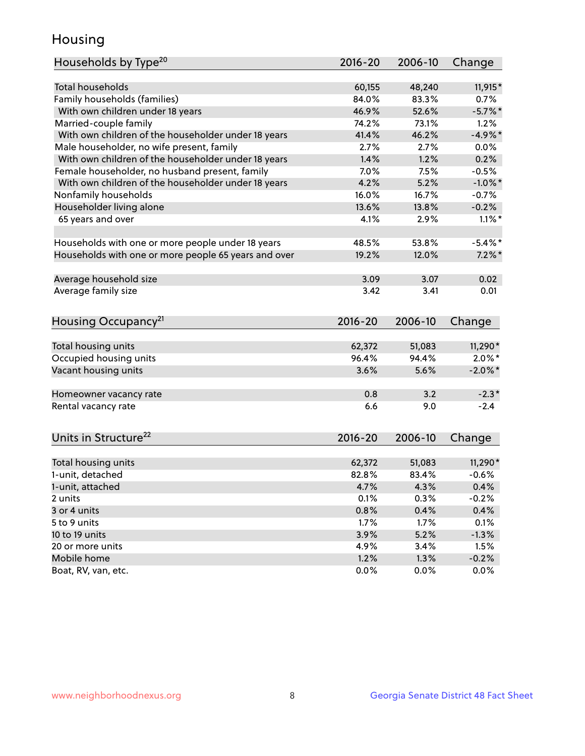## Housing

| Households by Type <sup>20</sup>                     | 2016-20     | 2006-10 | Change     |
|------------------------------------------------------|-------------|---------|------------|
|                                                      |             |         |            |
| <b>Total households</b>                              | 60,155      | 48,240  | 11,915*    |
| Family households (families)                         | 84.0%       | 83.3%   | 0.7%       |
| With own children under 18 years                     | 46.9%       | 52.6%   | $-5.7\%$ * |
| Married-couple family                                | 74.2%       | 73.1%   | 1.2%       |
| With own children of the householder under 18 years  | 41.4%       | 46.2%   | $-4.9\%$ * |
| Male householder, no wife present, family            | 2.7%        | 2.7%    | 0.0%       |
| With own children of the householder under 18 years  | 1.4%        | 1.2%    | 0.2%       |
| Female householder, no husband present, family       | 7.0%        | 7.5%    | $-0.5%$    |
| With own children of the householder under 18 years  | 4.2%        | 5.2%    | $-1.0\%$ * |
| Nonfamily households                                 | 16.0%       | 16.7%   | $-0.7%$    |
| Householder living alone                             | 13.6%       | 13.8%   | $-0.2%$    |
| 65 years and over                                    | 4.1%        | 2.9%    | $1.1\%$ *  |
|                                                      |             |         |            |
| Households with one or more people under 18 years    | 48.5%       | 53.8%   | $-5.4\%$ * |
| Households with one or more people 65 years and over | 19.2%       | 12.0%   | $7.2\%$ *  |
|                                                      |             |         |            |
| Average household size                               | 3.09        | 3.07    | 0.02       |
| Average family size                                  | 3.42        | 3.41    | 0.01       |
|                                                      |             |         |            |
| Housing Occupancy <sup>21</sup>                      | $2016 - 20$ | 2006-10 | Change     |
|                                                      |             |         |            |
| Total housing units                                  | 62,372      | 51,083  | 11,290*    |
| Occupied housing units                               | 96.4%       | 94.4%   | $2.0\%$ *  |
| Vacant housing units                                 | 3.6%        | 5.6%    | $-2.0\%$ * |
|                                                      |             |         |            |
| Homeowner vacancy rate                               | 0.8         | 3.2     | $-2.3*$    |
| Rental vacancy rate                                  | 6.6         | 9.0     | $-2.4$     |
|                                                      |             |         |            |
| Units in Structure <sup>22</sup>                     | $2016 - 20$ | 2006-10 | Change     |
|                                                      |             |         |            |
| Total housing units                                  | 62,372      | 51,083  | $11,290*$  |
| 1-unit, detached                                     | 82.8%       | 83.4%   | $-0.6%$    |
| 1-unit, attached                                     | 4.7%        | 4.3%    | 0.4%       |
| 2 units                                              | 0.1%        | 0.3%    | $-0.2%$    |
| 3 or 4 units                                         | 0.8%        | 0.4%    | 0.4%       |
| 5 to 9 units                                         | 1.7%        | 1.7%    | 0.1%       |
| 10 to 19 units                                       | 3.9%        | 5.2%    | $-1.3%$    |
| 20 or more units                                     | 4.9%        | 3.4%    | 1.5%       |
| Mobile home                                          | 1.2%        | 1.3%    | $-0.2%$    |
| Boat, RV, van, etc.                                  | 0.0%        | 0.0%    | 0.0%       |
|                                                      |             |         |            |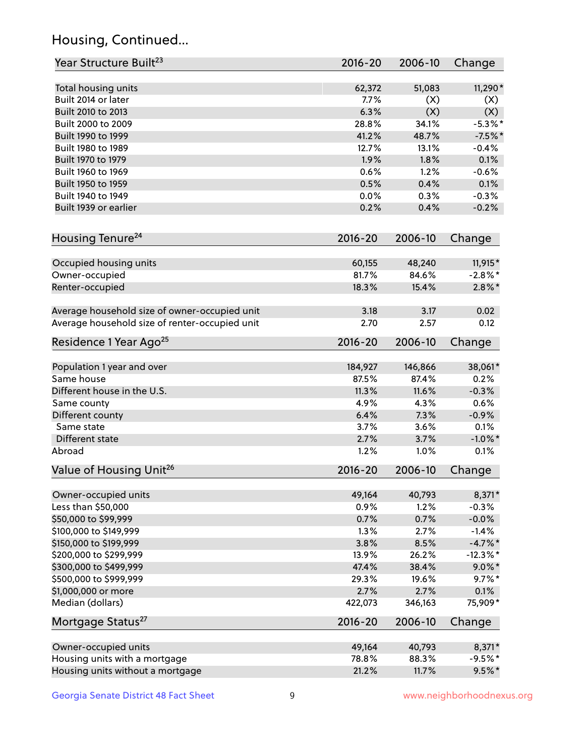## Housing, Continued...

| Year Structure Built <sup>23</sup>             | 2016-20     | 2006-10 | Change      |
|------------------------------------------------|-------------|---------|-------------|
| Total housing units                            | 62,372      | 51,083  | 11,290*     |
| Built 2014 or later                            | 7.7%        | (X)     | (X)         |
| Built 2010 to 2013                             | 6.3%        | (X)     | (X)         |
| Built 2000 to 2009                             | 28.8%       | 34.1%   | $-5.3%$ *   |
| Built 1990 to 1999                             | 41.2%       | 48.7%   | $-7.5%$ *   |
| Built 1980 to 1989                             | 12.7%       | 13.1%   | $-0.4%$     |
| Built 1970 to 1979                             | 1.9%        | 1.8%    | 0.1%        |
| Built 1960 to 1969                             | 0.6%        | 1.2%    | $-0.6%$     |
| Built 1950 to 1959                             | 0.5%        | 0.4%    | 0.1%        |
| Built 1940 to 1949                             | 0.0%        | 0.3%    | $-0.3%$     |
| Built 1939 or earlier                          | 0.2%        | 0.4%    | $-0.2%$     |
| Housing Tenure <sup>24</sup>                   | $2016 - 20$ | 2006-10 | Change      |
|                                                |             |         |             |
| Occupied housing units                         | 60,155      | 48,240  | 11,915*     |
| Owner-occupied                                 | 81.7%       | 84.6%   | $-2.8\%$ *  |
| Renter-occupied                                | 18.3%       | 15.4%   | $2.8\%$ *   |
| Average household size of owner-occupied unit  | 3.18        | 3.17    | 0.02        |
| Average household size of renter-occupied unit | 2.70        | 2.57    | 0.12        |
| Residence 1 Year Ago <sup>25</sup>             | $2016 - 20$ | 2006-10 | Change      |
| Population 1 year and over                     | 184,927     | 146,866 | 38,061*     |
| Same house                                     | 87.5%       | 87.4%   | 0.2%        |
| Different house in the U.S.                    | 11.3%       | 11.6%   | $-0.3%$     |
| Same county                                    | 4.9%        | 4.3%    | 0.6%        |
| Different county                               | 6.4%        | 7.3%    | $-0.9%$     |
| Same state                                     | 3.7%        | 3.6%    | 0.1%        |
| Different state                                | 2.7%        | 3.7%    | $-1.0\%$ *  |
| Abroad                                         | 1.2%        | 1.0%    | 0.1%        |
| Value of Housing Unit <sup>26</sup>            | $2016 - 20$ | 2006-10 | Change      |
| Owner-occupied units                           | 49,164      | 40,793  | 8,371*      |
| Less than \$50,000                             | 0.9%        | 1.2%    | $-0.3%$     |
| \$50,000 to \$99,999                           | 0.7%        | 0.7%    | $-0.0%$     |
| \$100,000 to \$149,999                         | 1.3%        | 2.7%    | $-1.4%$     |
| \$150,000 to \$199,999                         | 3.8%        | 8.5%    | $-4.7%$ *   |
| \$200,000 to \$299,999                         | 13.9%       | 26.2%   | $-12.3\%$ * |
| \$300,000 to \$499,999                         | 47.4%       | 38.4%   | $9.0\%$ *   |
| \$500,000 to \$999,999                         | 29.3%       | 19.6%   | $9.7\%$ *   |
| \$1,000,000 or more                            | 2.7%        | 2.7%    | 0.1%        |
| Median (dollars)                               | 422,073     | 346,163 | 75,909*     |
| Mortgage Status <sup>27</sup>                  | $2016 - 20$ | 2006-10 | Change      |
| Owner-occupied units                           | 49,164      | 40,793  | 8,371*      |
| Housing units with a mortgage                  | 78.8%       | 88.3%   | $-9.5%$ *   |
| Housing units without a mortgage               | 21.2%       | 11.7%   | $9.5%$ *    |
|                                                |             |         |             |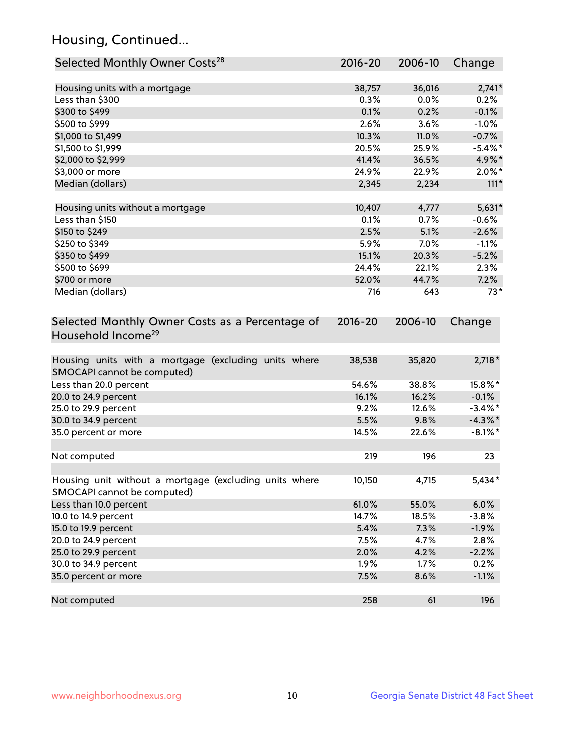## Housing, Continued...

| Selected Monthly Owner Costs <sup>28</sup>                                            | 2016-20     | 2006-10 | Change     |
|---------------------------------------------------------------------------------------|-------------|---------|------------|
| Housing units with a mortgage                                                         | 38,757      | 36,016  | $2,741*$   |
| Less than \$300                                                                       | 0.3%        | 0.0%    | 0.2%       |
| \$300 to \$499                                                                        | 0.1%        | 0.2%    | $-0.1%$    |
| \$500 to \$999                                                                        | 2.6%        | 3.6%    | $-1.0%$    |
| \$1,000 to \$1,499                                                                    | 10.3%       | 11.0%   | $-0.7%$    |
| \$1,500 to \$1,999                                                                    | 20.5%       | 25.9%   | $-5.4\%$ * |
| \$2,000 to \$2,999                                                                    | 41.4%       | 36.5%   | 4.9%*      |
| \$3,000 or more                                                                       | 24.9%       | 22.9%   | $2.0\%$ *  |
| Median (dollars)                                                                      | 2,345       | 2,234   | $111*$     |
| Housing units without a mortgage                                                      | 10,407      | 4,777   | $5,631*$   |
| Less than \$150                                                                       | 0.1%        | 0.7%    | $-0.6%$    |
| \$150 to \$249                                                                        | 2.5%        | 5.1%    | $-2.6%$    |
| \$250 to \$349                                                                        | 5.9%        | 7.0%    | $-1.1%$    |
| \$350 to \$499                                                                        | 15.1%       | 20.3%   | $-5.2%$    |
| \$500 to \$699                                                                        | 24.4%       | 22.1%   | 2.3%       |
| \$700 or more                                                                         | 52.0%       | 44.7%   | 7.2%       |
| Median (dollars)                                                                      | 716         | 643     | $73*$      |
| Selected Monthly Owner Costs as a Percentage of<br>Household Income <sup>29</sup>     | $2016 - 20$ | 2006-10 | Change     |
| Housing units with a mortgage (excluding units where<br>SMOCAPI cannot be computed)   | 38,538      | 35,820  | $2,718*$   |
| Less than 20.0 percent                                                                | 54.6%       | 38.8%   | 15.8%*     |
| 20.0 to 24.9 percent                                                                  | 16.1%       | 16.2%   | $-0.1%$    |
| 25.0 to 29.9 percent                                                                  | 9.2%        | 12.6%   | $-3.4\%$ * |
| 30.0 to 34.9 percent                                                                  | 5.5%        | 9.8%    | $-4.3\%$ * |
| 35.0 percent or more                                                                  | 14.5%       | 22.6%   | $-8.1\%$ * |
| Not computed                                                                          | 219         | 196     | 23         |
| Housing unit without a mortgage (excluding units where<br>SMOCAPI cannot be computed) | 10,150      | 4,715   | $5,434*$   |
| Less than 10.0 percent                                                                | 61.0%       | 55.0%   | 6.0%       |
| 10.0 to 14.9 percent                                                                  | 14.7%       | 18.5%   | $-3.8%$    |
| 15.0 to 19.9 percent                                                                  | 5.4%        | 7.3%    | $-1.9%$    |
| 20.0 to 24.9 percent                                                                  | 7.5%        | 4.7%    | 2.8%       |
| 25.0 to 29.9 percent                                                                  | 2.0%        | 4.2%    | $-2.2%$    |
| 30.0 to 34.9 percent                                                                  | 1.9%        | 1.7%    | 0.2%       |
| 35.0 percent or more                                                                  | 7.5%        | 8.6%    | $-1.1%$    |
| Not computed                                                                          | 258         | 61      | 196        |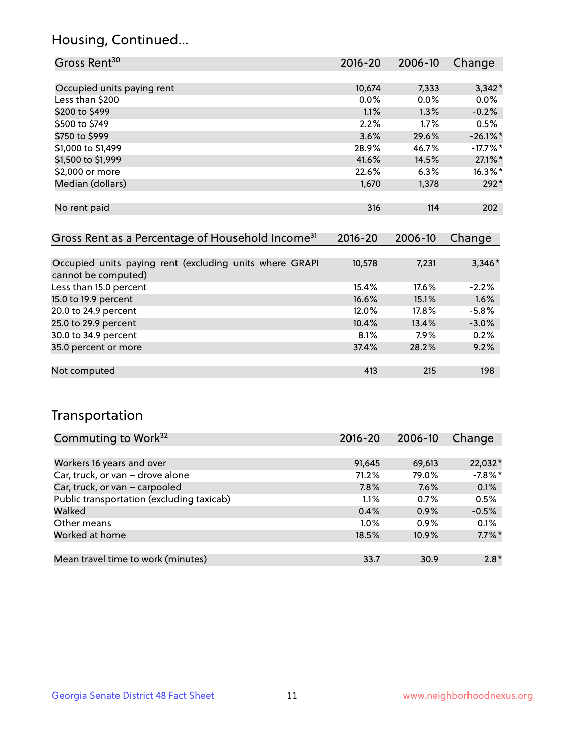## Housing, Continued...

| Gross Rent <sup>30</sup>   | 2016-20 | 2006-10 | Change      |
|----------------------------|---------|---------|-------------|
|                            |         |         |             |
| Occupied units paying rent | 10,674  | 7,333   | $3,342*$    |
| Less than \$200            | $0.0\%$ | 0.0%    | 0.0%        |
| \$200 to \$499             | 1.1%    | 1.3%    | $-0.2%$     |
| \$500 to \$749             | 2.2%    | 1.7%    | 0.5%        |
| \$750 to \$999             | 3.6%    | 29.6%   | $-26.1\%$ * |
| \$1,000 to \$1,499         | 28.9%   | 46.7%   | $-17.7\%$ * |
| \$1,500 to \$1,999         | 41.6%   | 14.5%   | 27.1%*      |
| \$2,000 or more            | 22.6%   | 6.3%    | $16.3\%$ *  |
| Median (dollars)           | 1,670   | 1,378   | $292*$      |
|                            |         |         |             |
| No rent paid               | 316     | 114     | 202         |
|                            |         |         |             |

| Gross Rent as a Percentage of Household Income <sup>31</sup>                   | $2016 - 20$ | 2006-10  | Change   |
|--------------------------------------------------------------------------------|-------------|----------|----------|
|                                                                                |             |          |          |
| Occupied units paying rent (excluding units where GRAPI<br>cannot be computed) | 10,578      | 7,231    | $3,346*$ |
| Less than 15.0 percent                                                         | 15.4%       | $17.6\%$ | $-2.2%$  |
| 15.0 to 19.9 percent                                                           | 16.6%       | 15.1%    | 1.6%     |
| 20.0 to 24.9 percent                                                           | 12.0%       | $17.8\%$ | $-5.8%$  |
| 25.0 to 29.9 percent                                                           | 10.4%       | 13.4%    | $-3.0%$  |
| 30.0 to 34.9 percent                                                           | 8.1%        | $7.9\%$  | 0.2%     |
| 35.0 percent or more                                                           | 37.4%       | 28.2%    | 9.2%     |
|                                                                                |             |          |          |
| Not computed                                                                   | 413         | 215      | 198      |

## Transportation

| Commuting to Work <sup>32</sup>           | 2016-20 | 2006-10 | Change    |
|-------------------------------------------|---------|---------|-----------|
|                                           |         |         |           |
| Workers 16 years and over                 | 91,645  | 69,613  | 22,032*   |
| Car, truck, or van - drove alone          | 71.2%   | 79.0%   | $-7.8%$   |
| Car, truck, or van - carpooled            | 7.8%    | 7.6%    | 0.1%      |
| Public transportation (excluding taxicab) | 1.1%    | 0.7%    | 0.5%      |
| Walked                                    | 0.4%    | 0.9%    | $-0.5%$   |
| Other means                               | $1.0\%$ | $0.9\%$ | 0.1%      |
| Worked at home                            | 18.5%   | 10.9%   | $7.7\%$ * |
|                                           |         |         |           |
| Mean travel time to work (minutes)        | 33.7    | 30.9    | $2.8*$    |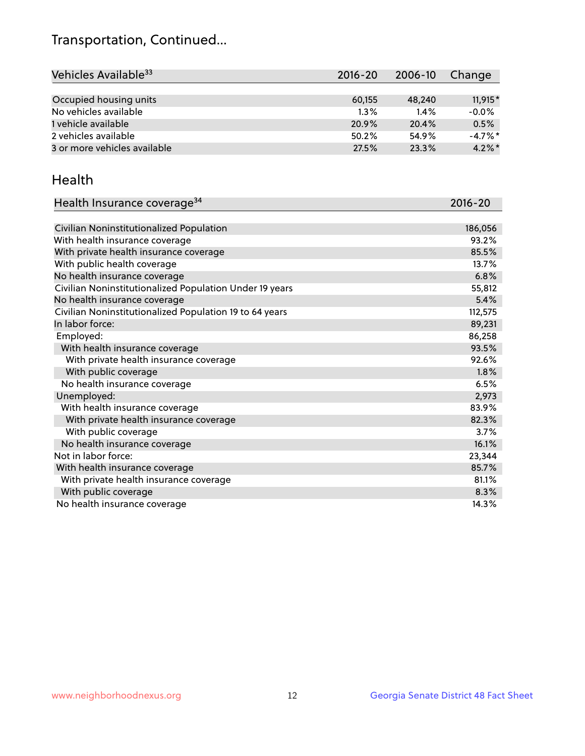## Transportation, Continued...

| Vehicles Available <sup>33</sup> | $2016 - 20$ | 2006-10 | Change     |
|----------------------------------|-------------|---------|------------|
|                                  |             |         |            |
| Occupied housing units           | 60,155      | 48,240  | $11.915*$  |
| No vehicles available            | $1.3\%$     | 1.4%    | $-0.0%$    |
| 1 vehicle available              | 20.9%       | 20.4%   | 0.5%       |
| 2 vehicles available             | 50.2%       | 54.9%   | $-4.7\%$ * |
| 3 or more vehicles available     | 27.5%       | 23.3%   | $4.2\%$ *  |

#### Health

| Health Insurance coverage <sup>34</sup>                 | 2016-20 |
|---------------------------------------------------------|---------|
|                                                         |         |
| Civilian Noninstitutionalized Population                | 186,056 |
| With health insurance coverage                          | 93.2%   |
| With private health insurance coverage                  | 85.5%   |
| With public health coverage                             | 13.7%   |
| No health insurance coverage                            | 6.8%    |
| Civilian Noninstitutionalized Population Under 19 years | 55,812  |
| No health insurance coverage                            | 5.4%    |
| Civilian Noninstitutionalized Population 19 to 64 years | 112,575 |
| In labor force:                                         | 89,231  |
| Employed:                                               | 86,258  |
| With health insurance coverage                          | 93.5%   |
| With private health insurance coverage                  | 92.6%   |
| With public coverage                                    | 1.8%    |
| No health insurance coverage                            | 6.5%    |
| Unemployed:                                             | 2,973   |
| With health insurance coverage                          | 83.9%   |
| With private health insurance coverage                  | 82.3%   |
| With public coverage                                    | 3.7%    |
| No health insurance coverage                            | 16.1%   |
| Not in labor force:                                     | 23,344  |
| With health insurance coverage                          | 85.7%   |
| With private health insurance coverage                  | 81.1%   |
| With public coverage                                    | 8.3%    |
| No health insurance coverage                            | 14.3%   |